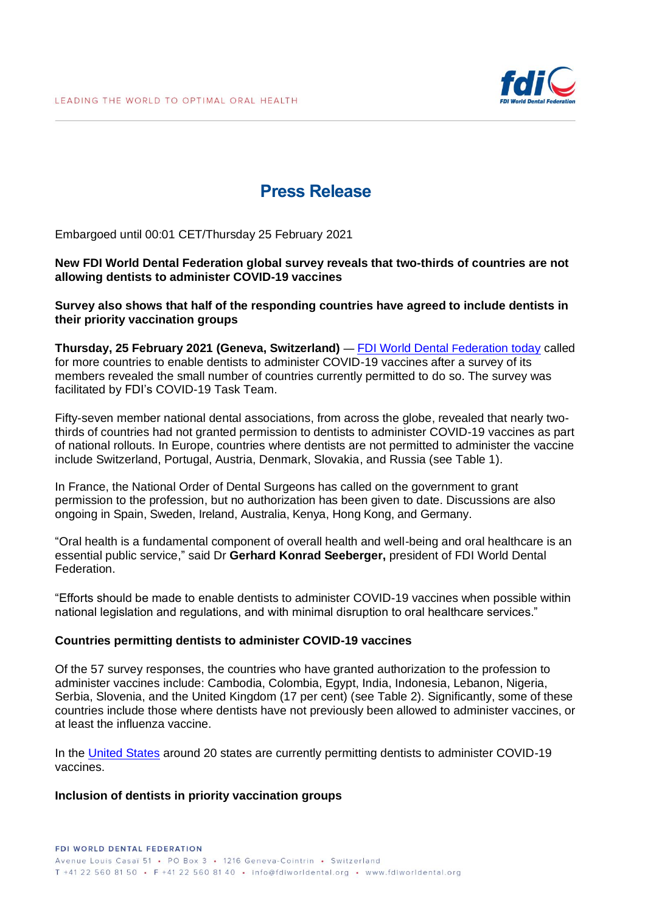

# **Press Release**

Embargoed until 00:01 CET/Thursday 25 February 2021

#### **New FDI World Dental Federation global survey reveals that two-thirds of countries are not allowing dentists to administer COVID-19 vaccines**

**Survey also shows that half of the responding countries have agreed to include dentists in their priority vaccination groups**

**Thursday, 25 February 2021 (Geneva, Switzerland)** — [FDI World Dental](http://www.fdiworlddental.org/vaccines) Federation today called for more countries to enable dentists to administer COVID-19 vaccines after a survey of its members revealed the small number of countries currently permitted to do so. The survey was facilitated by FDI's COVID-19 Task Team.

Fifty-seven member national dental associations, from across the globe, revealed that nearly twothirds of countries had not granted permission to dentists to administer COVID-19 vaccines as part of national rollouts. In Europe, countries where dentists are not permitted to administer the vaccine include Switzerland, Portugal, Austria, Denmark, Slovakia, and Russia (see Table 1).

In France, the National Order of Dental Surgeons has called on the government to grant permission to the profession, but no authorization has been given to date. Discussions are also ongoing in Spain, Sweden, Ireland, Australia, Kenya, Hong Kong, and Germany.

"Oral health is a fundamental component of overall health and well-being and oral healthcare is an essential public service," said Dr **Gerhard Konrad Seeberger,** president of FDI World Dental **Federation** 

"Efforts should be made to enable dentists to administer COVID-19 vaccines when possible within national legislation and regulations, and with minimal disruption to oral healthcare services."

#### **Countries permitting dentists to administer COVID-19 vaccines**

Of the 57 survey responses, the countries who have granted authorization to the profession to administer vaccines include: Cambodia, Colombia, Egypt, India, Indonesia, Lebanon, Nigeria, Serbia, Slovenia, and the United Kingdom (17 per cent) (see Table 2). Significantly, some of these countries include those where dentists have not previously been allowed to administer vaccines, or at least the influenza vaccine.

In the [United States](https://success.ada.org/en/practice-management/patients/covid-19-vaccine-regulations-for-dentists-map) around 20 states are currently permitting dentists to administer COVID-19 vaccines.

#### **Inclusion of dentists in priority vaccination groups**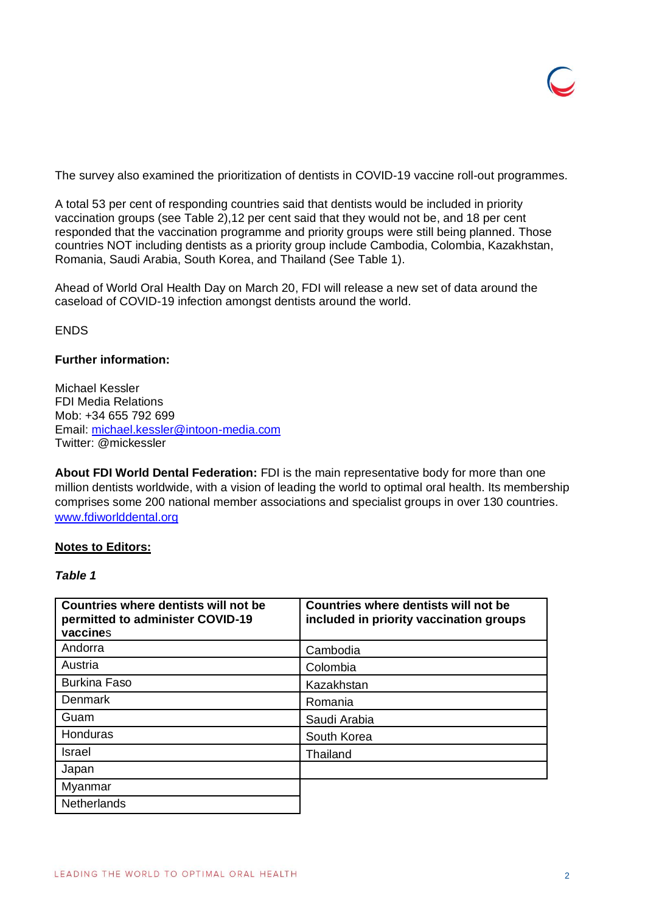The survey also examined the prioritization of dentists in COVID-19 vaccine roll-out programmes.

A total 53 per cent of responding countries said that dentists would be included in priority vaccination groups (see Table 2),12 per cent said that they would not be, and 18 per cent responded that the vaccination programme and priority groups were still being planned. Those countries NOT including dentists as a priority group include Cambodia, Colombia, Kazakhstan, Romania, Saudi Arabia, South Korea, and Thailand (See Table 1).

Ahead of World Oral Health Day on March 20, FDI will release a new set of data around the caseload of COVID-19 infection amongst dentists around the world.

**FNDS** 

# **Further information:**

Michael Kessler FDI Media Relations Mob: +34 655 792 699 Email: [michael.kessler@intoon-media.com](mailto:michael.kessler@intoon-media.com) Twitter: @mickessler

**About FDI World Dental Federation:** FDI is the main representative body for more than one million dentists worldwide, with a vision of leading the world to optimal oral health. Its membership comprises some 200 national member associations and specialist groups in over 130 countries. [www.fdiworlddental.org](http://www.fdiworlddental.org/)

# **Notes to Editors:**

### *Table 1*

| Countries where dentists will not be<br>permitted to administer COVID-19<br>vaccines | Countries where dentists will not be<br>included in priority vaccination groups |
|--------------------------------------------------------------------------------------|---------------------------------------------------------------------------------|
| Andorra                                                                              | Cambodia                                                                        |
| Austria                                                                              | Colombia                                                                        |
| <b>Burkina Faso</b>                                                                  | Kazakhstan                                                                      |
| Denmark                                                                              | Romania                                                                         |
| Guam                                                                                 | Saudi Arabia                                                                    |
| Honduras                                                                             | South Korea                                                                     |
| <b>Israel</b>                                                                        | Thailand                                                                        |
| Japan                                                                                |                                                                                 |
| Myanmar                                                                              |                                                                                 |
| <b>Netherlands</b>                                                                   |                                                                                 |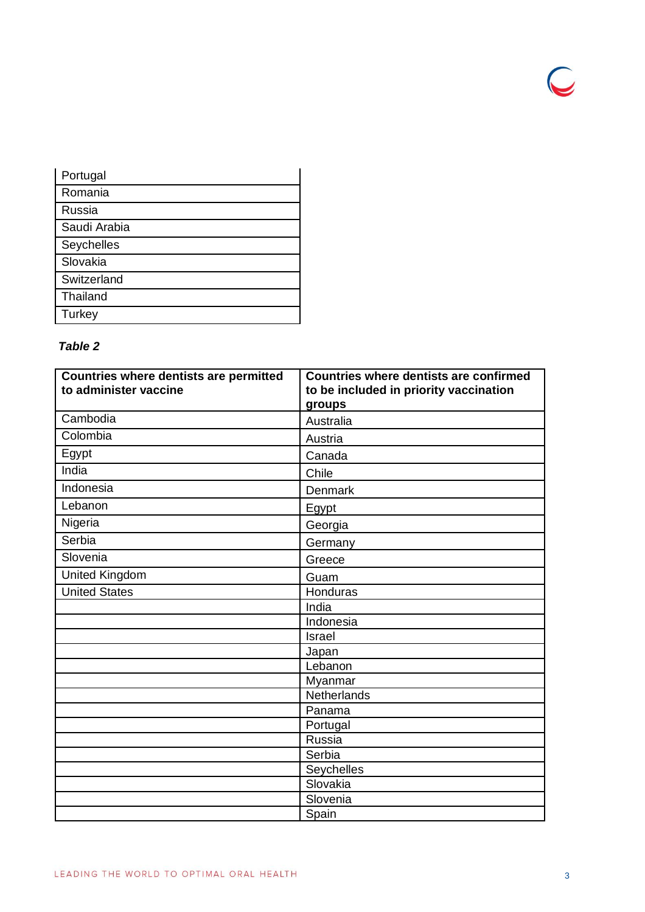| Portugal     |
|--------------|
| Romania      |
| Russia       |
| Saudi Arabia |
| Seychelles   |
| Slovakia     |
| Switzerland  |
| Thailand     |
| Turkey       |

# *Table 2*

| <b>Countries where dentists are permitted</b><br>to administer vaccine | <b>Countries where dentists are confirmed</b><br>to be included in priority vaccination |
|------------------------------------------------------------------------|-----------------------------------------------------------------------------------------|
|                                                                        | groups                                                                                  |
| Cambodia                                                               | Australia                                                                               |
| Colombia                                                               | Austria                                                                                 |
| Egypt                                                                  | Canada                                                                                  |
| India                                                                  | Chile                                                                                   |
| Indonesia                                                              | Denmark                                                                                 |
| Lebanon                                                                | Egypt                                                                                   |
| Nigeria                                                                | Georgia                                                                                 |
| Serbia                                                                 | Germany                                                                                 |
| Slovenia                                                               | Greece                                                                                  |
| United Kingdom                                                         | Guam                                                                                    |
| <b>United States</b>                                                   | Honduras                                                                                |
|                                                                        | India                                                                                   |
|                                                                        | Indonesia                                                                               |
|                                                                        | <b>Israel</b>                                                                           |
|                                                                        | Japan                                                                                   |
|                                                                        | Lebanon                                                                                 |
|                                                                        | Myanmar                                                                                 |
|                                                                        | Netherlands                                                                             |
|                                                                        | Panama                                                                                  |
|                                                                        | Portugal                                                                                |
|                                                                        | Russia                                                                                  |
|                                                                        | Serbia                                                                                  |
|                                                                        | Seychelles                                                                              |
|                                                                        | Slovakia                                                                                |
|                                                                        | Slovenia                                                                                |
|                                                                        | Spain                                                                                   |